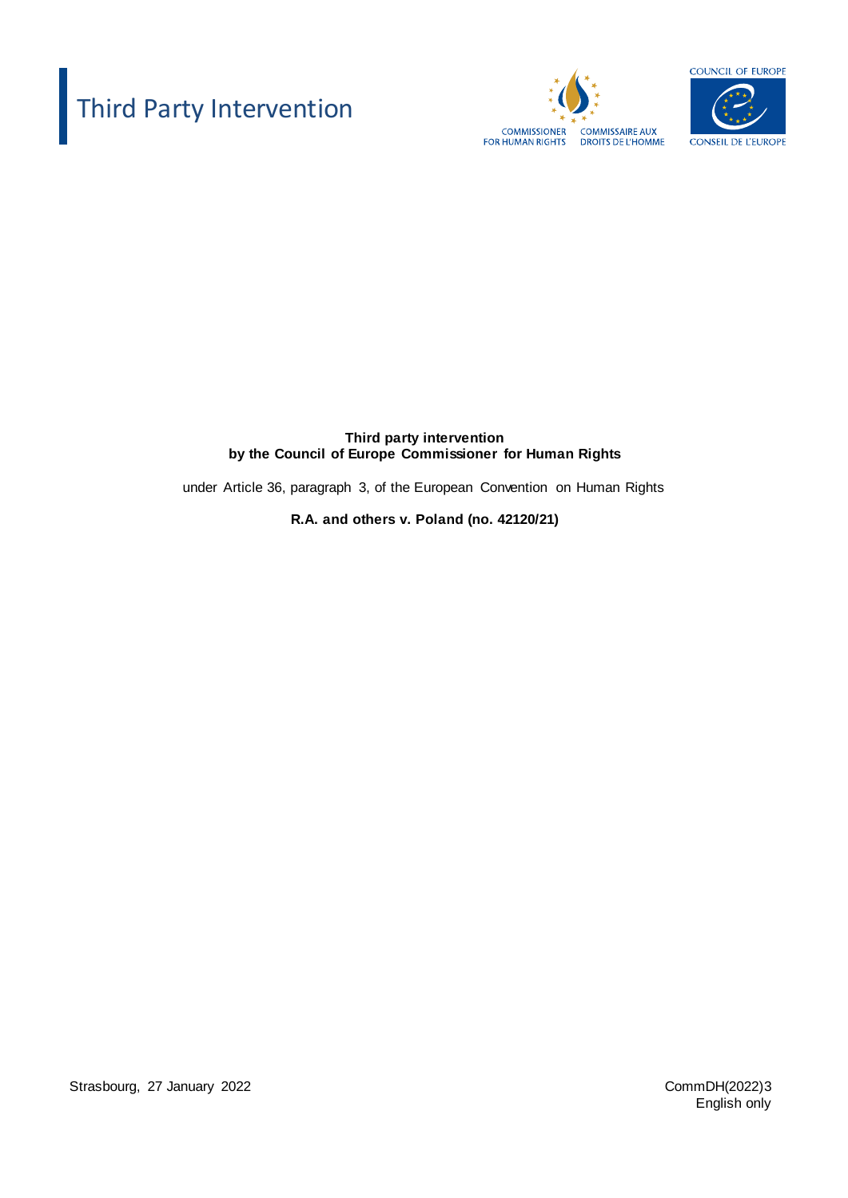# Third Party Intervention





**Third party intervention by the Council of Europe Commissioner for Human Rights** 

under Article 36, paragraph 3, of the European Convention on Human Rights

**R.A. and others v. Poland (no. 42120/21)**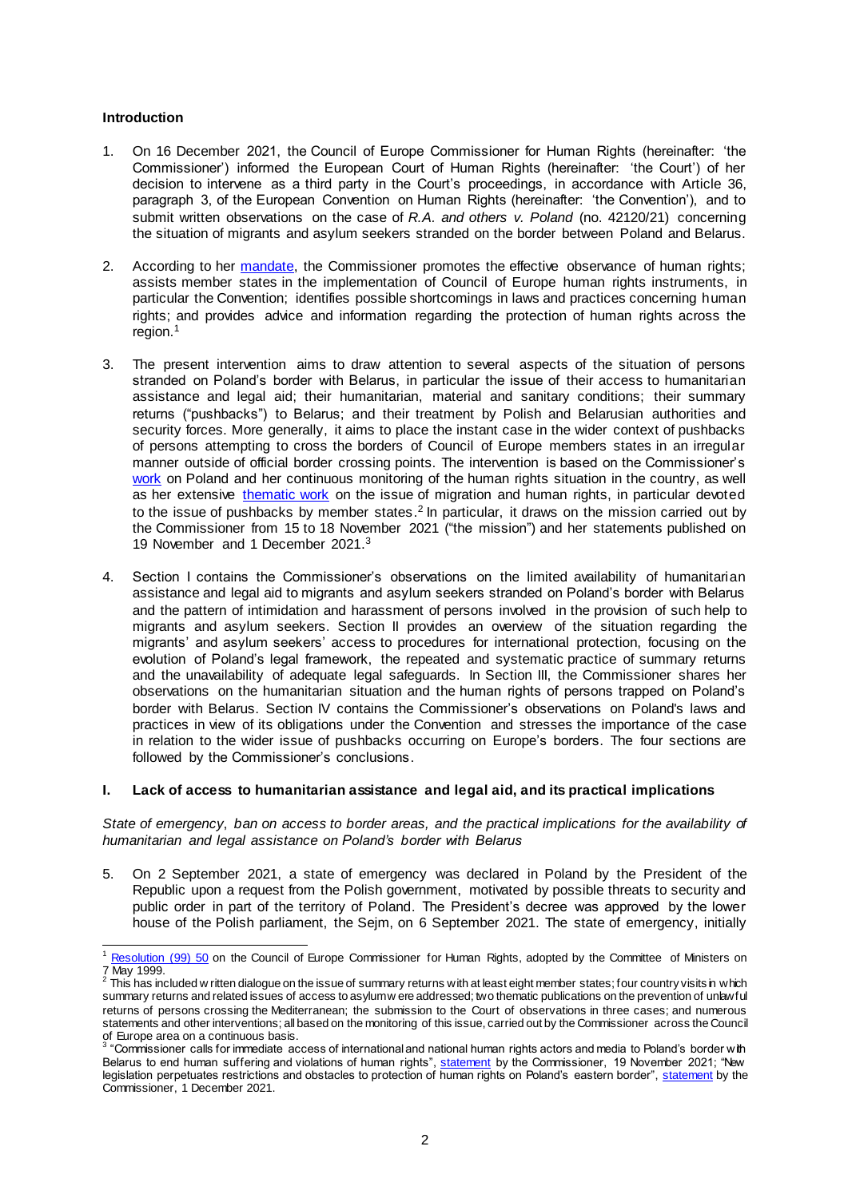## **Introduction**

- 1. On 16 December 2021, the Council of Europe Commissioner for Human Rights (hereinafter: 'the Commissioner') informed the European Court of Human Rights (hereinafter: 'the Court') of her decision to intervene as a third party in the Court's proceedings, in accordance with Article 36, paragraph 3, of the European Convention on Human Rights (hereinafter: 'the Convention'), and to submit written observations on the case of *R.A. and others v. Poland* (no. 42120/21) concerning the situation of migrants and asylum seekers stranded on the border between Poland and Belarus.
- 2. According to her [mandate,](http://wcd.coe.int/ViewDoc.jsp?id=458513) the Commissioner promotes the effective observance of human rights; assists member states in the implementation of Council of Europe human rights instruments, in particular the Convention; identifies possible shortcomings in laws and practices concerning human rights; and provides advice and information regarding the protection of human rights across the region.<sup>1</sup>
- 3. The present intervention aims to draw attention to several aspects of the situation of persons stranded on Poland's border with Belarus, in particular the issue of their access to humanitarian assistance and legal aid; their humanitarian, material and sanitary conditions; their summary returns ("pushbacks") to Belarus; and their treatment by Polish and Belarusian authorities and security forces. More generally, it aims to place the instant case in the wider context of pushbacks of persons attempting to cross the borders of Council of Europe members states in an irregular manner outside of official border crossing points. The intervention is based on the Commissioner's [work](https://www.coe.int/en/web/commissioner/country-monitoring/poland) on Poland and her continuous monitoring of the human rights situation in the country, as well as her extensive [thematic work](https://www.coe.int/en/web/commissioner/thematic-work/migration) on the issue of migration and human rights, in particular devoted to the issue of pushbacks by member states.<sup>2</sup> In particular, it draws on the mission carried out by the Commissioner from 15 to 18 November 2021 ("the mission") and her statements published on 19 November and 1 December 2021. 3
- 4. Section I contains the Commissioner's observations on the limited availability of humanitarian assistance and legal aid to migrants and asylum seekers stranded on Poland's border with Belarus and the pattern of intimidation and harassment of persons involved in the provision of such help to migrants and asylum seekers. Section II provides an overview of the situation regarding the migrants' and asylum seekers' access to procedures for international protection, focusing on the evolution of Poland's legal framework, the repeated and systematic practice of summary returns and the unavailability of adequate legal safeguards. In Section III, the Commissioner shares her observations on the humanitarian situation and the human rights of persons trapped on Poland's border with Belarus. Section IV contains the Commissioner's observations on Poland's laws and practices in view of its obligations under the Convention and stresses the importance of the case in relation to the wider issue of pushbacks occurring on Europe's borders. The four sections are followed by the Commissioner's conclusions.

## **I. Lack of access to humanitarian assistance and legal aid, and its practical implications**

*State of emergency*, *ban on access to border areas, and the practical implications for the availability of humanitarian and legal assistance on Poland's border with Belarus*

5. On 2 September 2021, a state of emergency was declared in Poland by the President of the Republic upon a request from the Polish government, motivated by possible threats to security and public order in part of the territory of Poland. The President's decree was approved by the lower house of the Polish parliament, the Sejm, on 6 September 2021. The state of emergency, initially

<sup>&</sup>lt;sup>1</sup> [Resolution \(99\)](https://wcd.coe.int/ViewDoc.jsp?id=458513) 50 on the Council of Europe Commissioner for Human Rights, adopted by the Committee of Ministers on 7 May 1999.

This has included w ritten dialogue on the issue of summary returns with at least eight member states; four country visits in which summary returns and related issues of access to asylum w ere addressed; two thematic publications on the prevention of unlawful returns of persons crossing the Mediterranean; the submission to the Court of observations in three cases; and numerous statements and other interventions; all based on the monitoring of this issue, carried out by the Commissioner across the Council of Europe area on a continuous basis.<br><sup>3</sup> "Commissioner calls for immediate access of international and national human rights actors and media to Poland's border w*i*th

Belarus to end human suffering and violations of human rights", <u>statement</u> by the Commissioner, 19 November 2021; "New legislation perpetuates restrictions and obstacles to protection of human rights on Poland's eastern border"[, statement](https://www.coe.int/en/web/commissioner/-/new-legislation-perpetuates-restrictions-and-obstacles-to-protection-of-the-human-rights-of-migrants-and-refugees-on-poland-s-eastern-border) by the Commissioner, 1 December 2021.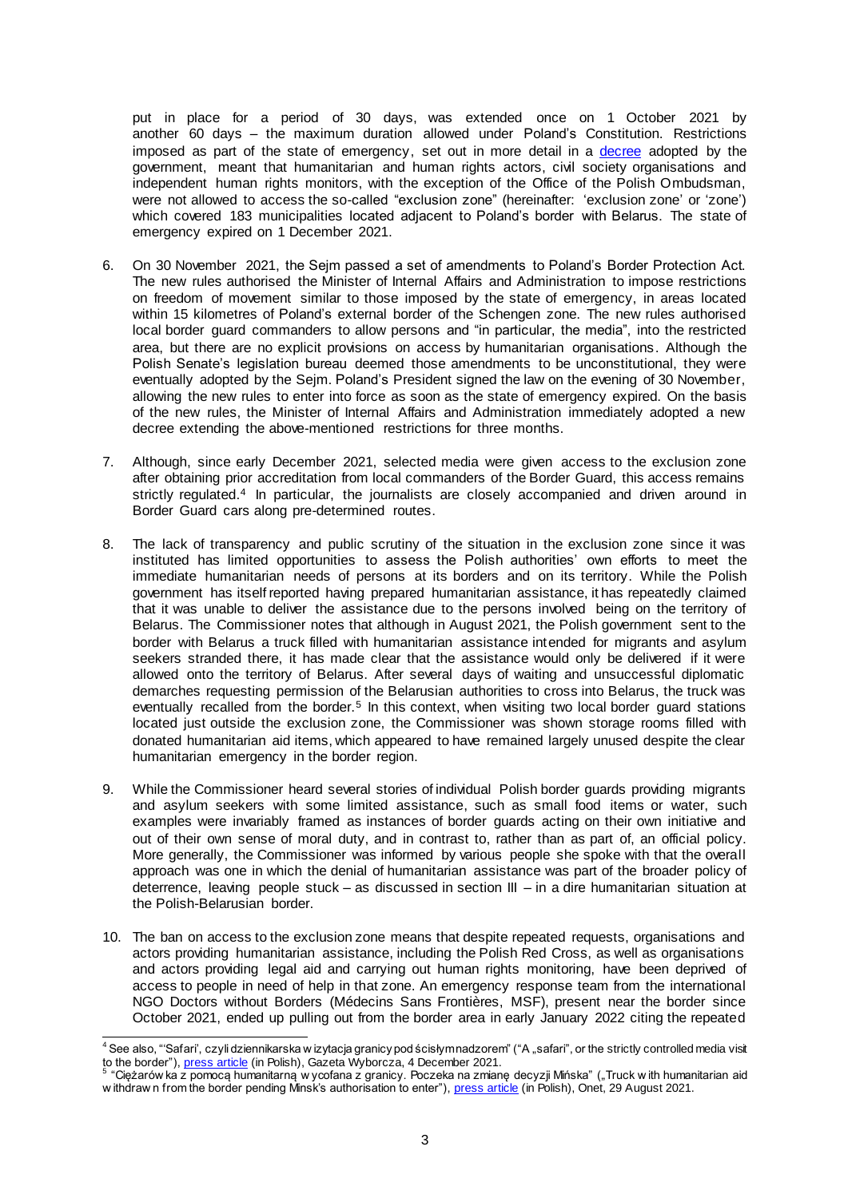put in place for a period of 30 days, was extended once on 1 October 2021 by another 60 days – the maximum duration allowed under Poland's Constitution. Restrictions imposed as part of the state of emergency, set out in more detail in a [decree](https://isap.sejm.gov.pl/isap.nsf/download.xsp/WDU20210001613/O/D20211613.pdf) adopted by the government, meant that humanitarian and human rights actors, civil society organisations and independent human rights monitors, with the exception of the Office of the Polish Ombudsman, were not allowed to access the so-called "exclusion zone" (hereinafter: 'exclusion zone' or 'zone') which covered 183 municipalities located adjacent to Poland's border with Belarus. The state of emergency expired on 1 December 2021.

- 6. On 30 November 2021, the Sejm passed a set of amendments to Poland's Border Protection Act. The new rules authorised the Minister of Internal Affairs and Administration to impose restrictions on freedom of movement similar to those imposed by the state of emergency, in areas located within 15 kilometres of Poland's external border of the Schengen zone. The new rules authorised local border guard commanders to allow persons and "in particular, the media", into the restricted area, but there are no explicit provisions on access by humanitarian organisations. Although the Polish Senate's legislation bureau deemed those amendments to be unconstitutional, they were eventually adopted by the Sejm. Poland's President signed the law on the evening of 30 November, allowing the new rules to enter into force as soon as the state of emergency expired. On the basis of the new rules, the Minister of Internal Affairs and Administration immediately adopted a new decree extending the above-mentioned restrictions for three months.
- 7. Although, since early December 2021, selected media were given access to the exclusion zone after obtaining prior accreditation from local commanders of the Border Guard, this access remains strictly regulated.<sup>4</sup> In particular, the journalists are closely accompanied and driven around in Border Guard cars along pre-determined routes.
- 8. The lack of transparency and public scrutiny of the situation in the exclusion zone since it was instituted has limited opportunities to assess the Polish authorities' own efforts to meet the immediate humanitarian needs of persons at its borders and on its territory. While the Polish government has itself reported having prepared humanitarian assistance, it has repeatedly claimed that it was unable to deliver the assistance due to the persons involved being on the territory of Belarus. The Commissioner notes that although in August 2021, the Polish government sent to the border with Belarus a truck filled with humanitarian assistance intended for migrants and asylum seekers stranded there, it has made clear that the assistance would only be delivered if it were allowed onto the territory of Belarus. After several days of waiting and unsuccessful diplomatic demarches requesting permission of the Belarusian authorities to cross into Belarus, the truck was eventually recalled from the border.<sup>5</sup> In this context, when visiting two local border guard stations located just outside the exclusion zone, the Commissioner was shown storage rooms filled with donated humanitarian aid items, which appeared to have remained largely unused despite the clear humanitarian emergency in the border region.
- 9. While the Commissioner heard several stories of individual Polish border guards providing migrants and asylum seekers with some limited assistance, such as small food items or water, such examples were invariably framed as instances of border guards acting on their own initiative and out of their own sense of moral duty, and in contrast to, rather than as part of, an official policy. More generally, the Commissioner was informed by various people she spoke with that the overall approach was one in which the denial of humanitarian assistance was part of the broader policy of deterrence, leaving people stuck – as discussed in section III – in a dire humanitarian situation at the Polish-Belarusian border.
- 10. The ban on access to the exclusion zone means that despite repeated requests, organisations and actors providing humanitarian assistance, including the Polish Red Cross, as well as organisations and actors providing legal aid and carrying out human rights monitoring, have been deprived of access to people in need of help in that zone. An emergency response team from the international NGO Doctors without Borders (Médecins Sans Frontières, MSF), present near the border since October 2021, ended up pulling out from the border area in early January 2022 citing the repeated

  $^4$  See also, "'Safari', czyli dziennikarska w izytacja granicy pod ścisłymnadzorem" ("A "safari", or the strictly controlled media visit to the border"), <u>press article</u> (in Polish), Gazeta Wyborcza, 4 December 2021.<br><sup>5</sup> "Ciężarów ka z pomocą humanitarną w ycofana z granicy. Poczeka na zmianę decyzji Mińska" ("Truck w ith humanitarian aid

w ithdraw n from the border pending Minsk's authorisation to enter["\), press artic](https://wiadomosci.onet.pl/bialystok/bialorus-tir-z-pomoca-humanitarna-wycofany-z-granicy-poczeka-na-zmiane-decyzji/1z8khv3)le (in Polish), Onet, 29 August 2021.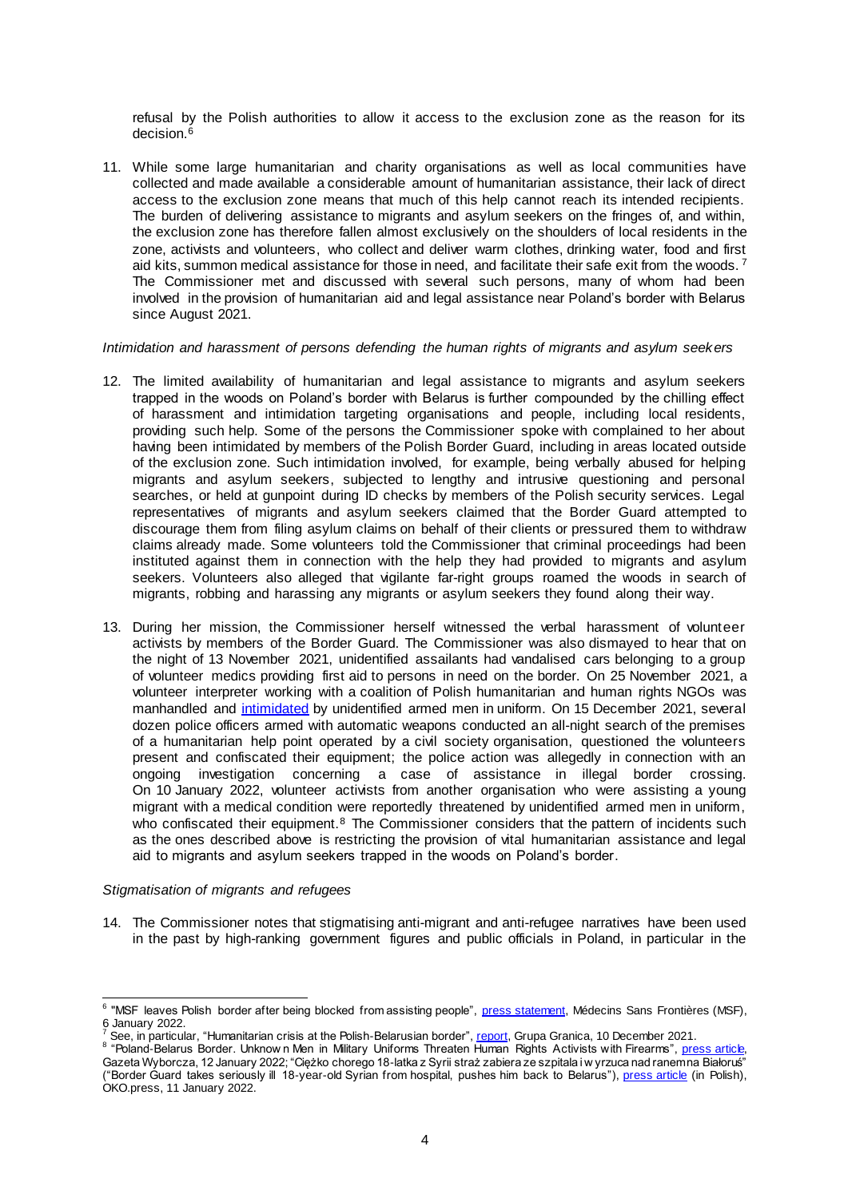refusal by the Polish authorities to allow it access to the exclusion zone as the reason for its decision.<sup>6</sup>

11. While some large humanitarian and charity organisations as well as local communities have collected and made available a considerable amount of humanitarian assistance, their lack of direct access to the exclusion zone means that much of this help cannot reach its intended recipients. The burden of delivering assistance to migrants and asylum seekers on the fringes of, and within, the exclusion zone has therefore fallen almost exclusively on the shoulders of local residents in the zone, activists and volunteers, who collect and deliver warm clothes, drinking water, food and first aid kits, summon medical assistance for those in need, and facilitate their safe exit from the woods.<sup>7</sup> The Commissioner met and discussed with several such persons, many of whom had been involved in the provision of humanitarian aid and legal assistance near Poland's border with Belarus since August 2021.

#### *Intimidation and harassment of persons defending the human rights of migrants and asylum seekers*

- 12. The limited availability of humanitarian and legal assistance to migrants and asylum seekers trapped in the woods on Poland's border with Belarus is further compounded by the chilling effect of harassment and intimidation targeting organisations and people, including local residents, providing such help. Some of the persons the Commissioner spoke with complained to her about having been intimidated by members of the Polish Border Guard, including in areas located outside of the exclusion zone. Such intimidation involved, for example, being verbally abused for helping migrants and asylum seekers, subjected to lengthy and intrusive questioning and personal searches, or held at gunpoint during ID checks by members of the Polish security services. Legal representatives of migrants and asylum seekers claimed that the Border Guard attempted to discourage them from filing asylum claims on behalf of their clients or pressured them to withdraw claims already made. Some volunteers told the Commissioner that criminal proceedings had been instituted against them in connection with the help they had provided to migrants and asylum seekers. Volunteers also alleged that vigilante far-right groups roamed the woods in search of migrants, robbing and harassing any migrants or asylum seekers they found along their way.
- 13. During her mission, the Commissioner herself witnessed the verbal harassment of volunteer activists by members of the Border Guard. The Commissioner was also dismayed to hear that on the night of 13 November 2021, unidentified assailants had vandalised cars belonging to a group of volunteer medics providing first aid to persons in need on the border. On 25 November 2021, a volunteer interpreter working with a coalition of Polish humanitarian and human rights NGOs was manhandled and [intimidated](https://twitter.com/MaryLawlorhrds/status/1464356333860401157) by unidentified armed men in uniform. On 15 December 2021, several dozen police officers armed with automatic weapons conducted an all-night search of the premises of a humanitarian help point operated by a civil society organisation, questioned the volunteers present and confiscated their equipment; the police action was allegedly in connection with an ongoing investigation concerning a case of assistance in illegal border crossing. On 10 January 2022, volunteer activists from another organisation who were assisting a young migrant with a medical condition were reportedly threatened by unidentified armed men in uniform, who confiscated their equipment.<sup>8</sup> The Commissioner considers that the pattern of incidents such as the ones described above is restricting the provision of vital humanitarian assistance and legal aid to migrants and asylum seekers trapped in the woods on Poland's border.

## *Stigmatisation of migrants and refugees*

14. The Commissioner notes that stigmatising anti-migrant and anti-refugee narratives have been used in the past by high-ranking government figures and public officials in Poland, in particular in the

<sup>8</sup> "Poland-Belarus Border. Unknow n Men in Military Uniforms Threaten Human Rights Activists with Firearms", **press article**, Gazeta Wyborcza, 12 January 2022; "Ciężko chorego 18-latka z Syrii straż zabiera ze szpitala i w yrzuca nad ranem na Białoruś" ("Border Guard takes seriously ill 18-year-old Syrian from hospital, pushes him back to Belarus")[, press article](https://oko.press/sluzby-strasza-aktywistow-karetka-wywozi-chlopaka-nocna-interwencja-kolo-mielnika) (in Polish), OKO.press, 11 January 2022.

ection of the moder after being blocked from assisting people", [press statement,](https://www.msf.org/msf-leaves-polish-border-after-being-blocked-assisting-migrants-and-refugees) Médecins Sans Frontières (MSF),<br>Final and the MSF (MSF), and the moder of the from the moder of the moder of the moder of the moder of the fr 6 January 2022.

See, in particular, "Humanitarian crisis at the Polish-Belarusian border[", repor](https://minorityrights.org/grupa-granica-report-1)t, Grupa Granica, 10 December 2021.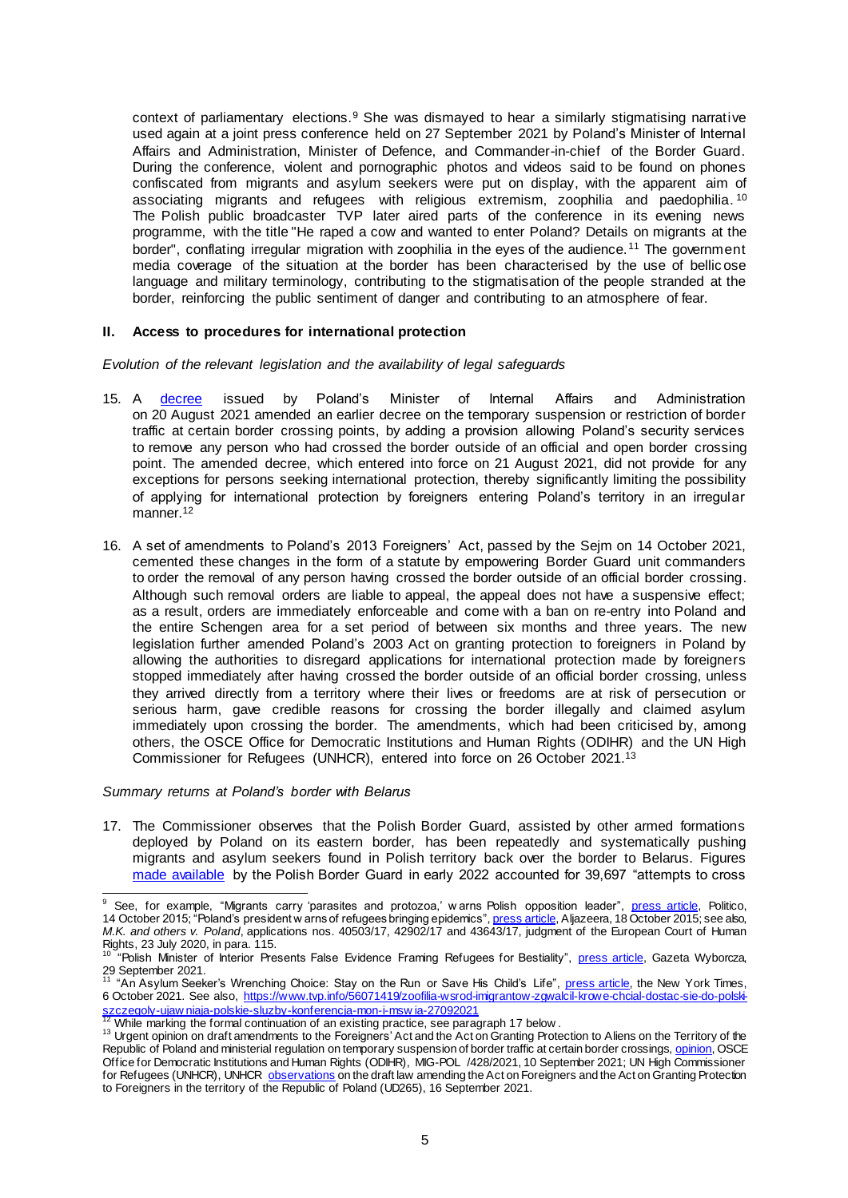context of parliamentary elections.<sup>9</sup> She was dismayed to hear a similarly stigmatising narrative used again at a joint press conference held on 27 September 2021 by Poland's Minister of Internal Affairs and Administration, Minister of Defence, and Commander-in-chief of the Border Guard. During the conference, violent and pornographic photos and videos said to be found on phones confiscated from migrants and asylum seekers were put on display, with the apparent aim of associating migrants and refugees with religious extremism, zoophilia and paedophilia. <sup>10</sup> The Polish public broadcaster TVP later aired parts of the conference in its evening news programme, with the title "He raped a cow and wanted to enter Poland? Details on migrants at the border", conflating irregular migration with zoophilia in the eyes of the audience.<sup>11</sup> The government media coverage of the situation at the border has been characterised by the use of bellic ose language and military terminology, contributing to the stigmatisation of the people stranded at the border, reinforcing the public sentiment of danger and contributing to an atmosphere of fear.

## **II. Access to procedures for international protection**

*Evolution of the relevant legislation and the availability of legal safeguards*

- 15. A [decree](https://isap.sejm.gov.pl/isap.nsf/download.xsp/WDU20210001536/O/D20211536.pdf) issued by Poland's Minister of Internal Affairs and Administration on 20 August 2021 amended an earlier decree on the temporary suspension or restriction of border traffic at certain border crossing points, by adding a provision allowing Poland's security services to remove any person who had crossed the border outside of an official and open border crossing point. The amended decree, which entered into force on 21 August 2021, did not provide for any exceptions for persons seeking international protection, thereby significantly limiting the possibility of applying for international protection by foreigners entering Poland's territory in an irregular manner. 12
- 16. A set of amendments to Poland's 2013 Foreigners' Act, passed by the Sejm on 14 October 2021, cemented these changes in the form of a statute by empowering Border Guard unit commanders to order the removal of any person having crossed the border outside of an official border crossing. Although such removal orders are liable to appeal, the appeal does not have a suspensive effect; as a result, orders are immediately enforceable and come with a ban on re-entry into Poland and the entire Schengen area for a set period of between six months and three years. The new legislation further amended Poland's 2003 Act on granting protection to foreigners in Poland by allowing the authorities to disregard applications for international protection made by foreigners stopped immediately after having crossed the border outside of an official border crossing, unless they arrived directly from a territory where their lives or freedoms are at risk of persecution or serious harm, gave credible reasons for crossing the border illegally and claimed asylum immediately upon crossing the border. The amendments, which had been criticised by, among others, the OSCE Office for Democratic Institutions and Human Rights (ODIHR) and the UN High Commissioner for Refugees (UNHCR), entered into force on 26 October 2021. 13

#### *Summary returns at Poland's border with Belarus*

l

17. The Commissioner observes that the Polish Border Guard, assisted by other armed formations deployed by Poland on its eastern border, has been repeatedly and systematically pushing migrants and asylum seekers found in Polish territory back over the border to Belarus. Figures [made available](https://www.strazgraniczna.pl/pl/aktualnosci/9689,Nielegalne-przekroczenia-granicy-z-Bialorusia-w-2021-r.html) by the Polish Border Guard in early 2022 accounted for 39,697 "attempts to cross

<sup>&</sup>lt;sup>9</sup> See, for example, "Migrants carry 'parasites and protozoa,' warns Polish opposition leader", <u>press article</u>, Politico, 14 October 2015; "Poland's president w arns of refugees bringing epidemics", <u>press article</u>, Aljazeera, 18 October 2015; see also, *M.K. and others v. Poland*, applications nos. 40503/17, 42902/17 and 43643/17, judgment of the European Court of Human Rights, 23 July 2020, in para. 115.

<sup>&</sup>lt;sup>10 "</sup>Polish Minister of Interior Presents False Evidence Framing Refugees for Bestiality", **press article**, Gazeta Wyborcza, 29 September 2021.<br><sup>11</sup> "An Asylum Seeker's Wrenching Choice: Stay on the Run or Save His Child's Life", <u>press article</u>, the New York Times,

<sup>6</sup> October 2021. See also, [https://www.tvp.info/56071419/zoofilia-wsrod-imigrantow-zgwalcil-krowe-chcial-dostac-sie-do-polski-](https://www.tvp.info/56071419/zoofilia-wsrod-imigrantow-zgwalcil-krowe-chcial-dostac-sie-do-polski-szczegoly-ujawniaja-polskie-sluzby-konferencja-mon-i-mswia-27092021)

<sup>&</sup>lt;u>[szczegoly-ujaw niaja-polskie-sluzby-konferencja-mon-i-msw ia-2709202](https://www.tvp.info/56071419/zoofilia-wsrod-imigrantow-zgwalcil-krowe-chcial-dostac-sie-do-polski-szczegoly-ujawniaja-polskie-sluzby-konferencja-mon-i-mswia-27092021)1</u><br><sup>12</sup> While marking the formal continuation of an existing practice, see paragraph 17 below .

<sup>&</sup>lt;sup>13</sup> Urgent opinion on draft amendments to the Foreigners' Act and the Act on Granting Protection to Aliens on the Territory of the Republic of Poland and ministerial regulation on temporary suspension of border traffic at certain border crossing[s, opinion](https://www.osce.org/files/f/documents/3/3/498252_0.pdf), OSCE Office for Democratic Institutions and Human Rights (ODIHR), MIG-POL /428/2021, 10 September 2021; UN High Commissioner for Refugees (UNHCR), UNHCR [observations](https://www.refworld.org/docid/61434b484.html) on the draft law amending the Act on Foreigners and the Act on Granting Protection to Foreigners in the territory of the Republic of Poland (UD265), 16 September 2021.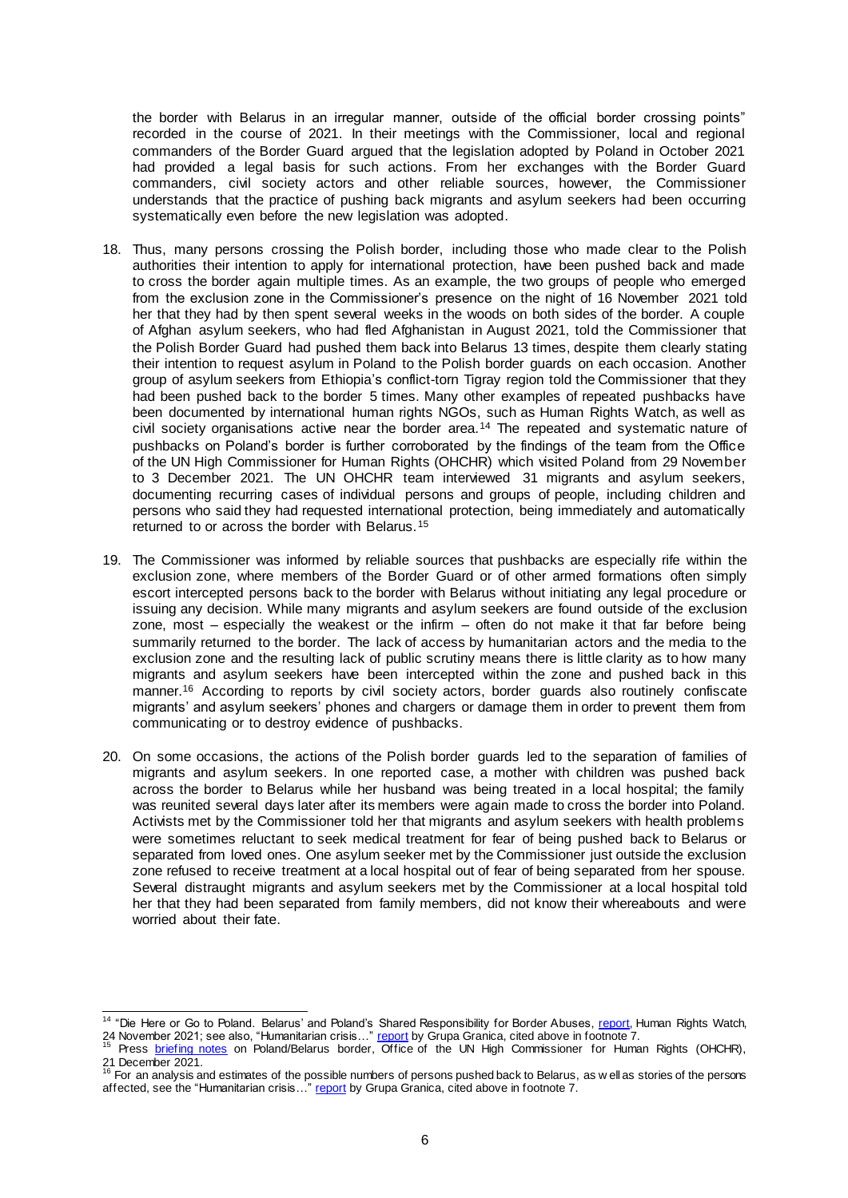the border with Belarus in an irregular manner, outside of the official border crossing points" recorded in the course of 2021. In their meetings with the Commissioner, local and regional commanders of the Border Guard argued that the legislation adopted by Poland in October 2021 had provided a legal basis for such actions. From her exchanges with the Border Guard commanders, civil society actors and other reliable sources, however, the Commissioner understands that the practice of pushing back migrants and asylum seekers had been occurring systematically even before the new legislation was adopted.

- 18. Thus, many persons crossing the Polish border, including those who made clear to the Polish authorities their intention to apply for international protection, have been pushed back and made to cross the border again multiple times. As an example, the two groups of people who emerged from the exclusion zone in the Commissioner's presence on the night of 16 November 2021 told her that they had by then spent several weeks in the woods on both sides of the border. A couple of Afghan asylum seekers, who had fled Afghanistan in August 2021, told the Commissioner that the Polish Border Guard had pushed them back into Belarus 13 times, despite them clearly stating their intention to request asylum in Poland to the Polish border guards on each occasion. Another group of asylum seekers from Ethiopia's conflict-torn Tigray region told the Commissioner that they had been pushed back to the border 5 times. Many other examples of repeated pushbacks have been documented by international human rights NGOs, such as Human Rights Watch, as well as civil society organisations active near the border area.<sup>14</sup> The repeated and systematic nature of pushbacks on Poland's border is further corroborated by the findings of the team from the Office of the UN High Commissioner for Human Rights (OHCHR) which visited Poland from 29 November to 3 December 2021. The UN OHCHR team interviewed 31 migrants and asylum seekers, documenting recurring cases of individual persons and groups of people, including children and persons who said they had requested international protection, being immediately and automatically returned to or across the border with Belarus.<sup>15</sup>
- 19. The Commissioner was informed by reliable sources that pushbacks are especially rife within the exclusion zone, where members of the Border Guard or of other armed formations often simply escort intercepted persons back to the border with Belarus without initiating any legal procedure or issuing any decision. While many migrants and asylum seekers are found outside of the exclusion zone, most – especially the weakest or the infirm – often do not make it that far before being summarily returned to the border. The lack of access by humanitarian actors and the media to the exclusion zone and the resulting lack of public scrutiny means there is little clarity as to how many migrants and asylum seekers have been intercepted within the zone and pushed back in this manner. <sup>16</sup> According to reports by civil society actors, border guards also routinely confiscate migrants' and asylum seekers' phones and chargers or damage them in order to prevent them from communicating or to destroy evidence of pushbacks.
- 20. On some occasions, the actions of the Polish border guards led to the separation of families of migrants and asylum seekers. In one reported case, a mother with children was pushed back across the border to Belarus while her husband was being treated in a local hospital; the family was reunited several days later after its members were again made to cross the border into Poland. Activists met by the Commissioner told her that migrants and asylum seekers with health problems were sometimes reluctant to seek medical treatment for fear of being pushed back to Belarus or separated from loved ones. One asylum seeker met by the Commissioner just outside the exclusion zone refused to receive treatment at a local hospital out of fear of being separated from her spouse. Several distraught migrants and asylum seekers met by the Commissioner at a local hospital told her that they had been separated from family members, did not know their whereabouts and were worried about their fate.

 <sup>14</sup> "Die Here or Go to Poland. Belarus' and Poland's Shared Responsibility for Border Abuses[, report](https://www.hrw.org/report/2021/11/24/die-here-or-go-poland/belarus-and-polands-shared-responsibility-border-abuses), Human Rights Watch,

<sup>24</sup> November 2021; see also, "Humanitarian crisis…" <u>report</u> by Grupa Granica, cited above in footnote 7.<br><sup>15</sup> Press <u>briefing notes</u> on Poland/Belarus border, Office of the UN High Commissioner for Human Right

<sup>21</sup> December 2021.<br><sup>16</sup> For an analysis and estimates of the possible numbers of persons pushed back to Belarus, as w ell as stories of the persons affected, see the "Humanitarian crisis..." report by Grupa Granica, cited above in footnote 7.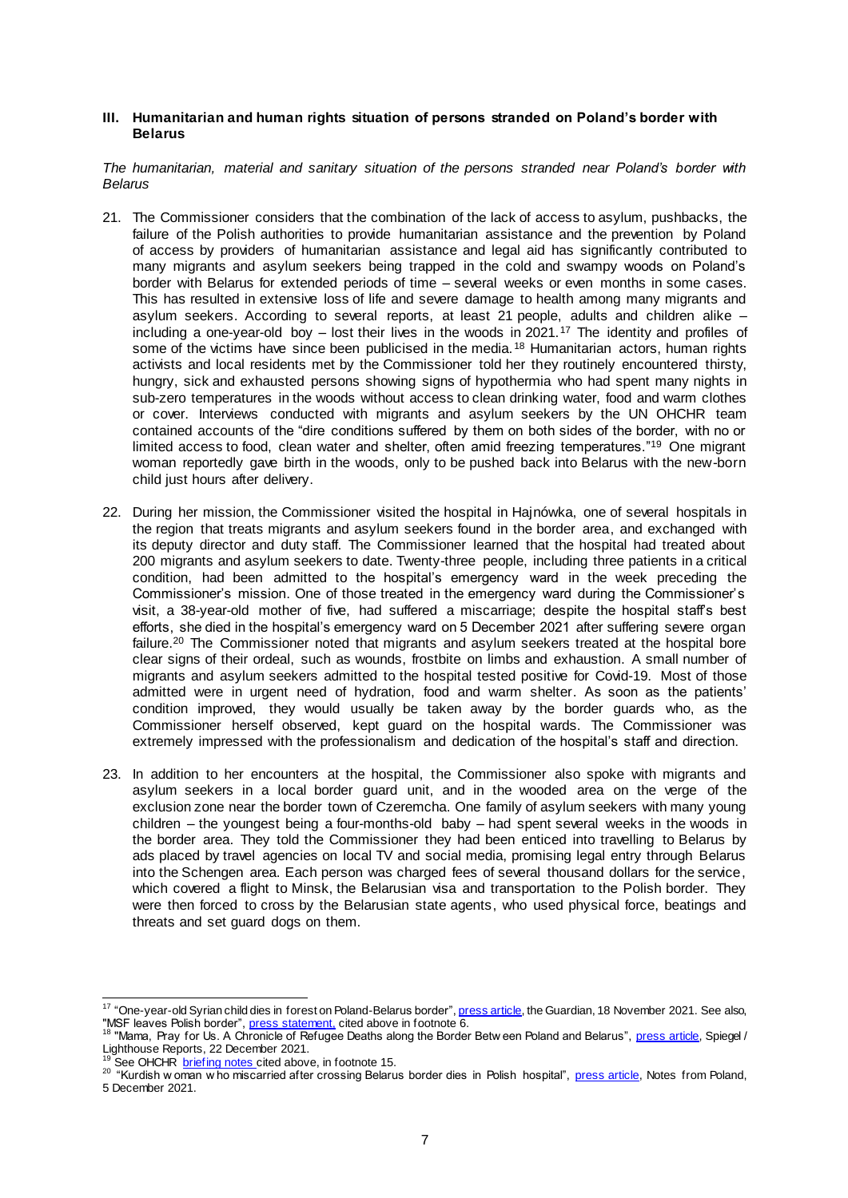#### **III. Humanitarian and human rights situation of persons stranded on Poland's border with Belarus**

*The humanitarian, material and sanitary situation of the persons stranded near Poland's border with Belarus*

- 21. The Commissioner considers that the combination of the lack of access to asylum, pushbacks, the failure of the Polish authorities to provide humanitarian assistance and the prevention by Poland of access by providers of humanitarian assistance and legal aid has significantly contributed to many migrants and asylum seekers being trapped in the cold and swampy woods on Poland's border with Belarus for extended periods of time – several weeks or even months in some cases. This has resulted in extensive loss of life and severe damage to health among many migrants and asylum seekers. According to several reports, at least 21 people, adults and children alike – including a one-year-old boy – lost their lives in the woods in 2021.<sup>17</sup> The identity and profiles of some of the victims have since been publicised in the media.<sup>18</sup> Humanitarian actors, human rights activists and local residents met by the Commissioner told her they routinely encountered thirsty, hungry, sick and exhausted persons showing signs of hypothermia who had spent many nights in sub-zero temperatures in the woods without access to clean drinking water, food and warm clothes or cover. Interviews conducted with migrants and asylum seekers by the UN OHCHR team contained accounts of the "dire conditions suffered by them on both sides of the border, with no or limited access to food, clean water and shelter, often amid freezing temperatures."<sup>19</sup> One migrant woman reportedly gave birth in the woods, only to be pushed back into Belarus with the new-born child just hours after delivery.
- 22. During her mission, the Commissioner visited the hospital in Hajnówka, one of several hospitals in the region that treats migrants and asylum seekers found in the border area, and exchanged with its deputy director and duty staff. The Commissioner learned that the hospital had treated about 200 migrants and asylum seekers to date. Twenty-three people, including three patients in a critical condition, had been admitted to the hospital's emergency ward in the week preceding the Commissioner's mission. One of those treated in the emergency ward during the Commissioner's visit, a 38-year-old mother of five, had suffered a miscarriage; despite the hospital staff's best efforts, she died in the hospital's emergency ward on 5 December 2021 after suffering severe organ failure.<sup>20</sup> The Commissioner noted that migrants and asylum seekers treated at the hospital bore clear signs of their ordeal, such as wounds, frostbite on limbs and exhaustion. A small number of migrants and asylum seekers admitted to the hospital tested positive for Covid-19. Most of those admitted were in urgent need of hydration, food and warm shelter. As soon as the patients' condition improved, they would usually be taken away by the border guards who, as the Commissioner herself observed, kept guard on the hospital wards. The Commissioner was extremely impressed with the professionalism and dedication of the hospital's staff and direction.
- 23. In addition to her encounters at the hospital, the Commissioner also spoke with migrants and asylum seekers in a local border guard unit, and in the wooded area on the verge of the exclusion zone near the border town of Czeremcha. One family of asylum seekers with many young children – the youngest being a four-months-old baby – had spent several weeks in the woods in the border area. They told the Commissioner they had been enticed into travelling to Belarus by ads placed by travel agencies on local TV and social media, promising legal entry through Belarus into the Schengen area. Each person was charged fees of several thousand dollars for the service, which covered a flight to Minsk, the Belarusian visa and transportation to the Polish border. They were then forced to cross by the Belarusian state agents, who used physical force, beatings and threats and set guard dogs on them.

 17 "One-year-old Syrian child dies in forest on Poland-Belarus border[", press article](https://www.theguardian.com/world/2021/nov/18/one-year-old-syrian-child-dies-in-forest-on-poland-belarus-border), the Guardian, 18 November 2021. See also, "MSF leaves Polish border", <u>press statement,</u> cited above in footnote 6.<br><sup>18</sup> "Mama, Pray for Us. A Chronicle of Refugee Deaths along the Border Betw een Poland and Belarus", <u>press article</u>, Spiegel /

Lighthouse Reports, 22 December 2021.

See OHCHR [briefing notes](https://www.ohchr.org/EN/NewsEvents/Pages/DisplayNews.aspx?NewsID=28004&LangID=E) cited above, in footnote 15.

<sup>&</sup>lt;sup>20</sup> "Kurdish w oman w ho miscarried after crossing Belarus border dies in Polish hospital", <u>press article</u>, Notes from Poland, 5 December 2021.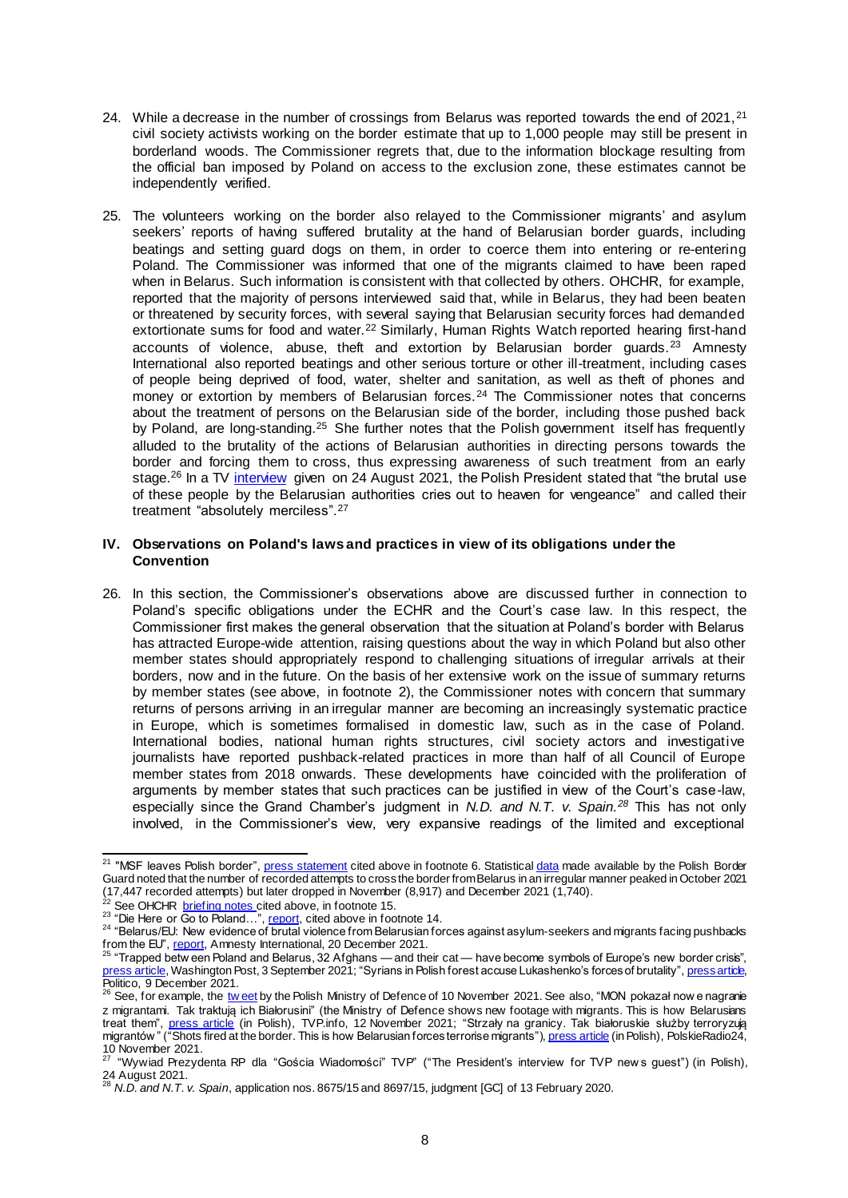- 24. While a decrease in the number of crossings from Belarus was reported towards the end of 2021,<sup>21</sup> civil society activists working on the border estimate that up to 1,000 people may still be present in borderland woods. The Commissioner regrets that, due to the information blockage resulting from the official ban imposed by Poland on access to the exclusion zone, these estimates cannot be independently verified.
- 25. The volunteers working on the border also relayed to the Commissioner migrants' and asylum seekers' reports of having suffered brutality at the hand of Belarusian border guards, including beatings and setting guard dogs on them, in order to coerce them into entering or re-entering Poland. The Commissioner was informed that one of the migrants claimed to have been raped when in Belarus. Such information is consistent with that collected by others. OHCHR, for example, reported that the majority of persons interviewed said that, while in Belarus, they had been beaten or threatened by security forces, with several saying that Belarusian security forces had demanded extortionate sums for food and water.<sup>22</sup> Similarly, Human Rights Watch reported hearing first-hand accounts of violence, abuse, theft and extortion by Belarusian border quards. $^{23}$  Amnesty International also reported beatings and other serious torture or other ill-treatment, including cases of people being deprived of food, water, shelter and sanitation, as well as theft of phones and money or extortion by members of Belarusian forces.<sup>24</sup> The Commissioner notes that concerns about the treatment of persons on the Belarusian side of the border, including those pushed back by Poland, are long-standing.<sup>25</sup> She further notes that the Polish government itself has frequently alluded to the brutality of the actions of Belarusian authorities in directing persons towards the border and forcing them to cross, thus expressing awareness of such treatment from an early stage.<sup>26</sup> In a TV <u>[interview](http://www.prezydent.pl/aktualnosci/wypowiedzi-prezydenta-rp/wywiady/wywiad-prezydenta-rp-dla-goscia-wiadomosci-tvp-calosc,34343)</u> given on 24 August 2021, the Polish President stated that "the brutal use of these people by the Belarusian authorities cries out to heaven for vengeance" and called their treatment "absolutely merciless".<sup>27</sup>

## **IV. Observations on Poland's laws and practices in view of its obligations under the Convention**

26. In this section, the Commissioner's observations above are discussed further in connection to Poland's specific obligations under the ECHR and the Court's case law. In this respect, the Commissioner first makes the general observation that the situation at Poland's border with Belarus has attracted Europe-wide attention, raising questions about the way in which Poland but also other member states should appropriately respond to challenging situations of irregular arrivals at their borders, now and in the future. On the basis of her extensive work on the issue of summary returns by member states (see above, in footnote 2), the Commissioner notes with concern that summary returns of persons arriving in an irregular manner are becoming an increasingly systematic practice in Europe, which is sometimes formalised in domestic law, such as in the case of Poland. International bodies, national human rights structures, civil society actors and investigative journalists have reported pushback-related practices in more than half of all Council of Europe member states from 2018 onwards. These developments have coincided with the proliferation of arguments by member states that such practices can be justified in view of the Court's case-law, especially since the Grand Chamber's judgment in *N.D. and N.T. v. Spain. <sup>28</sup>* This has not only involved, in the Commissioner's view, very expansive readings of the limited and exceptional

l

<sup>&</sup>lt;sup>21</sup> "MSF leaves Polish border"[, press statement](https://www.msf.fr/communiques-presse/pologne-bielorussie-msf-quitte-la-region-faute-d-acces-aux-exiles-menaces-par-le-froid) cited above in footnote 6. Statistic[al data](https://www.strazgraniczna.pl/pl/aktualnosci/9689,Nielegalne-przekroczenia-granicy-z-Bialorusia-w-2021-r.html) made available by the Polish Border Guard noted that the number of recorded attempts to cross the border from Belarus in an irregular manner peaked in October 2021 (17,447 recorded attempts) but later dropped in November (8,917) and December 2021 (1,740).

<sup>&</sup>lt;sup>22</sup> See OHCHR **briefing notes** cited above, in footnote 15.

<sup>&</sup>lt;sup>23</sup> "Die Here or Go to Poland..."[, report,](https://www.hrw.org/report/2021/11/24/die-here-or-go-poland/belarus-and-polands-shared-responsibility-border-abuses) cited above in footnote 14.

 $^{24}$  "Belarus/EU: New evidence of brutal violence from Belarusian forces against asylum-seekers and migrants facing pushbacks from the EU", [report,](https://www.amnesty.org/en/latest/news/2021/12/belarus-eu-new-evidence-of-brutal-violence-from-belarusian-forces-against-asylum-seekers-and-migrants-facing-pushbacks-from-the-eu/#:~:text=Amnesty%20International%20interviewed%20a%20total,by%20EU%20countries%2C%20including%20Poland.&text=There%20were%20about%20ten%20%5BBelarusian,had%20four%20dogs%20with%20them.) Amnesty International, 20 December 2021.

<sup>&</sup>lt;sup>25</sup> "Trapped betw een Poland and Belarus, 32 Afghans — and their cat — have become symbols of Europe's new border crisis", [press article,](https://www.washingtonpost.com/world/europe/afghan-refugees-poland-belarus/2021/09/03/396c2fe0-0c00-11ec-a7c8-61bb7b3bf628_story.html) Washington Post, 3 September 2021; "Syrians in Polish forest accuse Lukashenko's forces of brutality[", press article,](https://www.politico.eu/article/tale-syrian-migrant-poland-forest-belarus-lukashenko-asylum-border/) 

Politico, 9 December 2021.<br><sup>26</sup> See, for example, the <u>tw eet</u> by the Polish Ministry of Defence of 10 November 2021. See also, "MON pokazał now e nagranie z migrantami. Tak traktują ich Białorusini" (the Ministry of Defence shows new footage with migrants. This is how Belarusians treat them", <u>press article</u> (in Polish), TVP.info, 12 November 2021; "Strzały na granicy. Tak białoruskie służby terroryzują migrantów " ("Shots fired at the border. This is how Belarusian forces terrorise migrants"), <u>press article</u> (in Polish), PolskieRadio24,

<sup>10</sup> November 2021.<br><sup>27</sup> "Wywiad Prezydenta RP dla "Gościa Wiadomości" TVP" ("The President's interview for TVP news guest") (in Polish),

<sup>24</sup> August 2021. <sup>28</sup> *N.D. and N.T. v. Spain*, application nos. 8675/15 and 8697/15, judgment [GC] of 13 February 2020.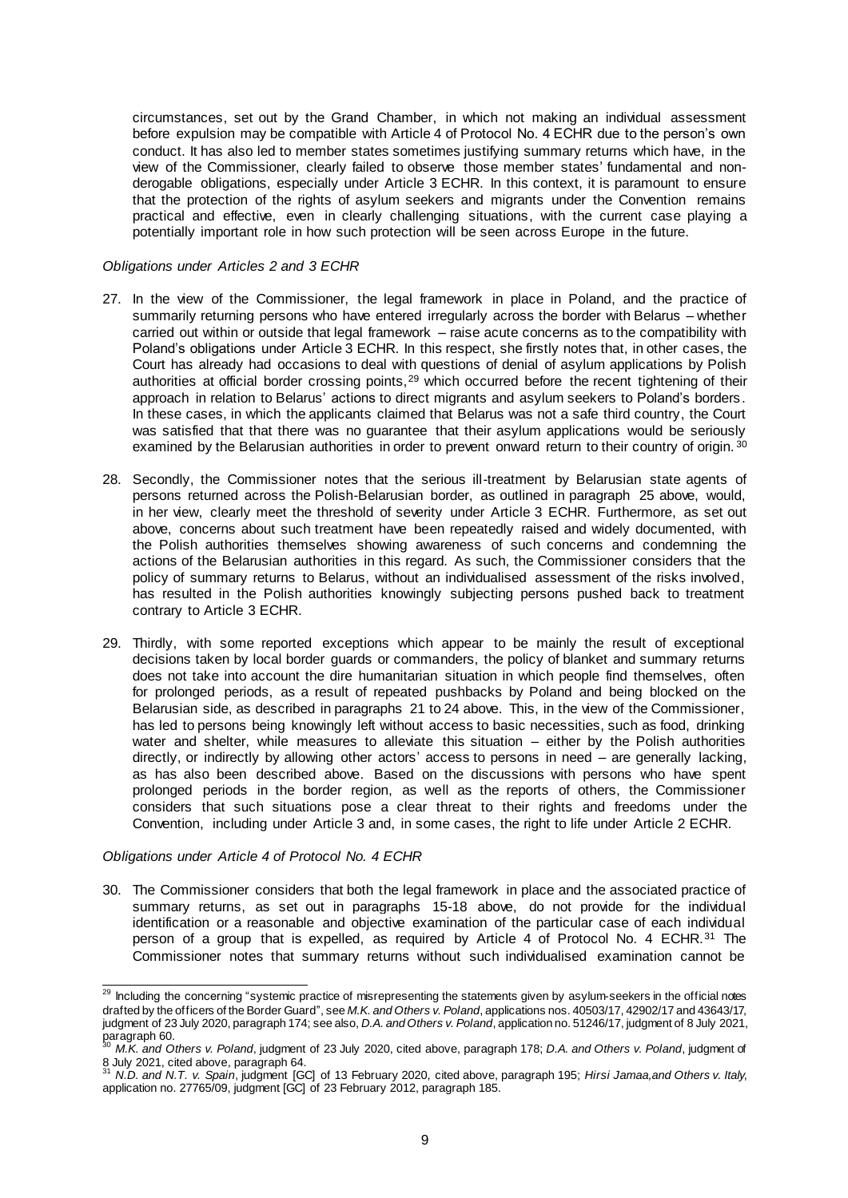circumstances, set out by the Grand Chamber, in which not making an individual assessment before expulsion may be compatible with Article 4 of Protocol No. 4 ECHR due to the person's own conduct. It has also led to member states sometimes justifying summary returns which have, in the view of the Commissioner, clearly failed to observe those member states' fundamental and nonderogable obligations, especially under Article 3 ECHR. In this context, it is paramount to ensure that the protection of the rights of asylum seekers and migrants under the Convention remains practical and effective, even in clearly challenging situations, with the current case playing a potentially important role in how such protection will be seen across Europe in the future.

# *Obligations under Articles 2 and 3 ECHR*

- 27. In the view of the Commissioner, the legal framework in place in Poland, and the practice of summarily returning persons who have entered irregularly across the border with Belarus – whether carried out within or outside that legal framework – raise acute concerns as to the compatibility with Poland's obligations under Article 3 ECHR. In this respect, she firstly notes that, in other cases, the Court has already had occasions to deal with questions of denial of asylum applications by Polish authorities at official border crossing points,<sup>29</sup> which occurred before the recent tightening of their approach in relation to Belarus' actions to direct migrants and asylum seekers to Poland's borders. In these cases, in which the applicants claimed that Belarus was not a safe third country, the Court was satisfied that that there was no guarantee that their asylum applications would be seriously examined by the Belarusian authorities in order to prevent onward return to their country of origin. 30
- 28. Secondly, the Commissioner notes that the serious ill-treatment by Belarusian state agents of persons returned across the Polish-Belarusian border, as outlined in paragraph 25 above, would, in her view, clearly meet the threshold of severity under Article 3 ECHR. Furthermore, as set out above, concerns about such treatment have been repeatedly raised and widely documented, with the Polish authorities themselves showing awareness of such concerns and condemning the actions of the Belarusian authorities in this regard. As such, the Commissioner considers that the policy of summary returns to Belarus, without an individualised assessment of the risks involved, has resulted in the Polish authorities knowingly subjecting persons pushed back to treatment contrary to Article 3 ECHR.
- 29. Thirdly, with some reported exceptions which appear to be mainly the result of exceptional decisions taken by local border guards or commanders, the policy of blanket and summary returns does not take into account the dire humanitarian situation in which people find themselves, often for prolonged periods, as a result of repeated pushbacks by Poland and being blocked on the Belarusian side, as described in paragraphs 21 to 24 above. This, in the view of the Commissioner, has led to persons being knowingly left without access to basic necessities, such as food, drinking water and shelter, while measures to alleviate this situation – either by the Polish authorities directly, or indirectly by allowing other actors' access to persons in need – are generally lacking, as has also been described above. Based on the discussions with persons who have spent prolonged periods in the border region, as well as the reports of others, the Commissioner considers that such situations pose a clear threat to their rights and freedoms under the Convention, including under Article 3 and, in some cases, the right to life under Article 2 ECHR.

#### *Obligations under Article 4 of Protocol No. 4 ECHR*

30. The Commissioner considers that both the legal framework in place and the associated practice of summary returns, as set out in paragraphs 15-18 above, do not provide for the individual identification or a reasonable and objective examination of the particular case of each individual person of a group that is expelled, as required by Article 4 of Protocol No. 4 ECHR.<sup>31</sup> The Commissioner notes that summary returns without such individualised examination cannot be

 <sup>29</sup> Including the concerning "systemic practice of misrepresenting the statements given by asylum-seekers in the official notes drafted by the officers of the Border Guard", see *M.K. and Others v. Poland*, applications nos. 40503/17, 42902/17 and 43643/17, judgment of 23 July 2020, paragraph 174; see also, *D.A. and Others v. Poland*, application no. 51246/17, judgment of 8 July 2021, paragraph 60. <sup>30</sup> *M.K. and Others v. Poland*, judgment of 23 July 2020, cited above, paragraph 178; *D.A. and Others v. Poland*, judgment of

<sup>8</sup> July 2021, cited above, paragraph 64. <sup>31</sup> *N.D. and N.T. v. Spain*, judgment [GC] of 13 February 2020, cited above, paragraph 195; *Hirsi Jamaa,and Others v. Italy*, application no. 27765/09, judgment [GC] of 23 February 2012, paragraph 185.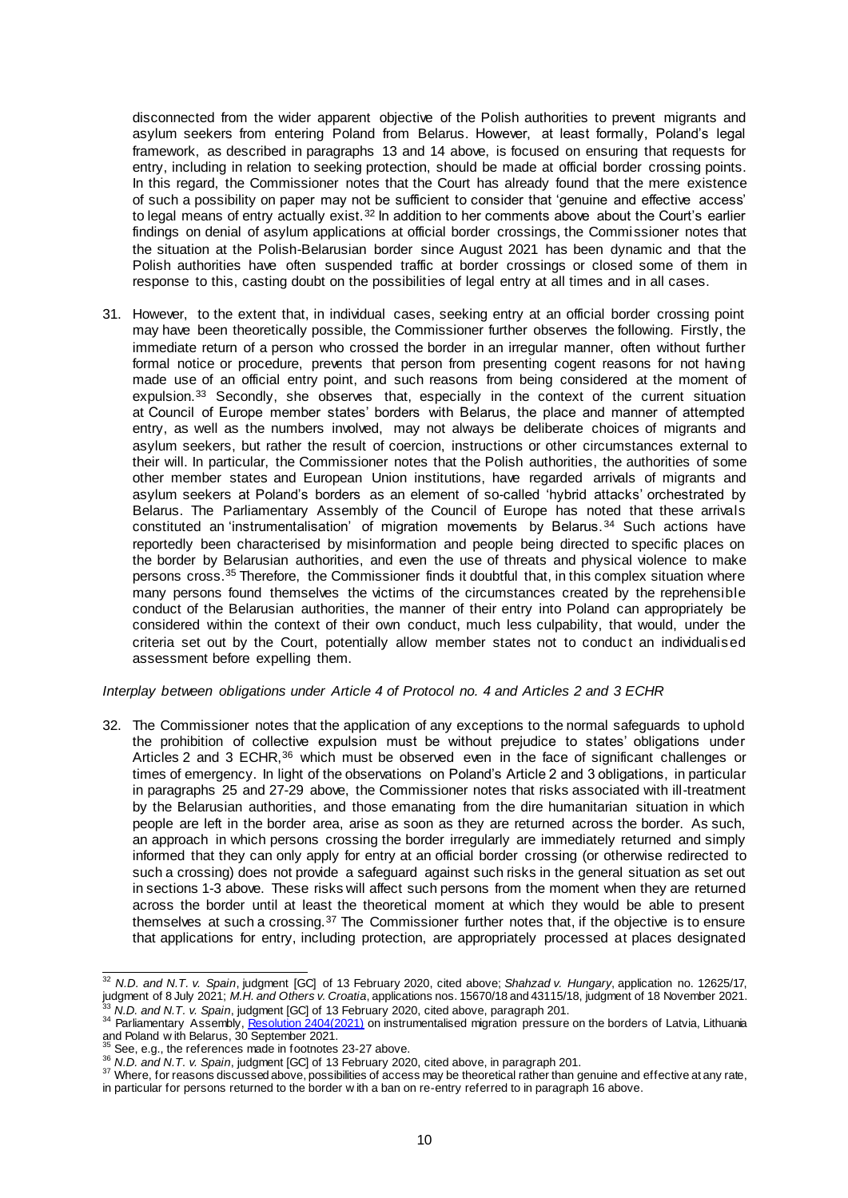disconnected from the wider apparent objective of the Polish authorities to prevent migrants and asylum seekers from entering Poland from Belarus. However, at least formally, Poland's legal framework, as described in paragraphs 13 and 14 above, is focused on ensuring that requests for entry, including in relation to seeking protection, should be made at official border crossing points. In this regard, the Commissioner notes that the Court has already found that the mere existence of such a possibility on paper may not be sufficient to consider that 'genuine and effective access' to legal means of entry actually exist. $32$  In addition to her comments above about the Court's earlier findings on denial of asylum applications at official border crossings, the Commissioner notes that the situation at the Polish-Belarusian border since August 2021 has been dynamic and that the Polish authorities have often suspended traffic at border crossings or closed some of them in response to this, casting doubt on the possibilities of legal entry at all times and in all cases.

31. However, to the extent that, in individual cases, seeking entry at an official border crossing point may have been theoretically possible, the Commissioner further observes the following. Firstly, the immediate return of a person who crossed the border in an irregular manner, often without further formal notice or procedure, prevents that person from presenting cogent reasons for not having made use of an official entry point, and such reasons from being considered at the moment of expulsion.<sup>33</sup> Secondly, she observes that, especially in the context of the current situation at Council of Europe member states' borders with Belarus, the place and manner of attempted entry, as well as the numbers involved, may not always be deliberate choices of migrants and asylum seekers, but rather the result of coercion, instructions or other circumstances external to their will. In particular, the Commissioner notes that the Polish authorities, the authorities of some other member states and European Union institutions, have regarded arrivals of migrants and asylum seekers at Poland's borders as an element of so-called 'hybrid attacks' orchestrated by Belarus. The Parliamentary Assembly of the Council of Europe has noted that these arrivals constituted an 'instrumentalisation' of migration movements by Belarus. <sup>34</sup> Such actions have reportedly been characterised by misinformation and people being directed to specific places on the border by Belarusian authorities, and even the use of threats and physical violence to make persons cross.<sup>35</sup> Therefore, the Commissioner finds it doubtful that, in this complex situation where many persons found themselves the victims of the circumstances created by the reprehensible conduct of the Belarusian authorities, the manner of their entry into Poland can appropriately be considered within the context of their own conduct, much less culpability, that would, under the criteria set out by the Court, potentially allow member states not to conduct an individualised assessment before expelling them.

# *Interplay between obligations under Article 4 of Protocol no. 4 and Articles 2 and 3 ECHR*

32. The Commissioner notes that the application of any exceptions to the normal safeguards to uphold the prohibition of collective expulsion must be without prejudice to states' obligations under Articles 2 and 3 ECHR,<sup>36</sup> which must be observed even in the face of significant challenges or times of emergency. In light of the observations on Poland's Article 2 and 3 obligations, in particular in paragraphs 25 and 27-29 above, the Commissioner notes that risks associated with ill-treatment by the Belarusian authorities, and those emanating from the dire humanitarian situation in which people are left in the border area, arise as soon as they are returned across the border. As such, an approach in which persons crossing the border irregularly are immediately returned and simply informed that they can only apply for entry at an official border crossing (or otherwise redirected to such a crossing) does not provide a safeguard against such risks in the general situation as set out in sections 1-3 above. These risks will affect such persons from the moment when they are returned across the border until at least the theoretical moment at which they would be able to present themselves at such a crossing. $37$  The Commissioner further notes that, if the objective is to ensure that applications for entry, including protection, are appropriately processed at places designated

 <sup>32</sup> *N.D. and N.T. v. Spain*, judgment [GC] of 13 February 2020, cited above; *Shahzad v. Hungary*, application no. 12625/17, judgment of 8 July 2021; *M.H. and Others v. Croatia*, applications nos. 15670/18 and 43115/18, judgment of 18 November 2021. <sup>33</sup> *N.D. and N.T. v. Spain*, judgment [GC] of 13 February 2020, cited above, paragraph 201.

<sup>&</sup>lt;sup>34</sup> Parliamentary Assembly, <u>Resolution 2404(2021)</u> on instrumentalised migration pressure on the borders of Latvia, Lithuania and Poland w ith Belarus, 30 September 2021.

 $5$  See, e.g., the references made in footnotes 23-27 above.

<sup>36</sup> *N.D. and N.T. v. Spain*, judgment [GC] of 13 February 2020, cited above, in paragraph 201.

<sup>&</sup>lt;sup>37</sup> Where, for reasons discussed above, possibilities of access may be theoretical rather than genuine and effective at any rate, in particular for persons returned to the border w ith a ban on re-entry referred to in paragraph 16 above.